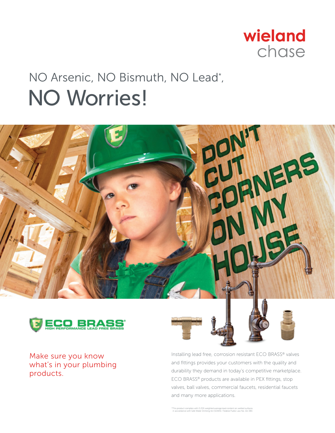

## NO Arsenic, NO Bismuth, NO Lead\* , NO Worries!





Make sure you know what's in your plumbing products.



Installing lead free, corrosion resistant ECO BRASS® valves and fittings provides your customers with the quality and durability they demand in today's competitive marketplace. ECO BRASS® products are available in PEX fittings, stop valves, ball valves, commercial faucets, residential faucets and many more applications.

\*This product complies with 0.25% weighted average lead content on wetted surfaces in accordance with Safe Water Drinking Act (SDWA) / Federal Public Law No. 111-380.